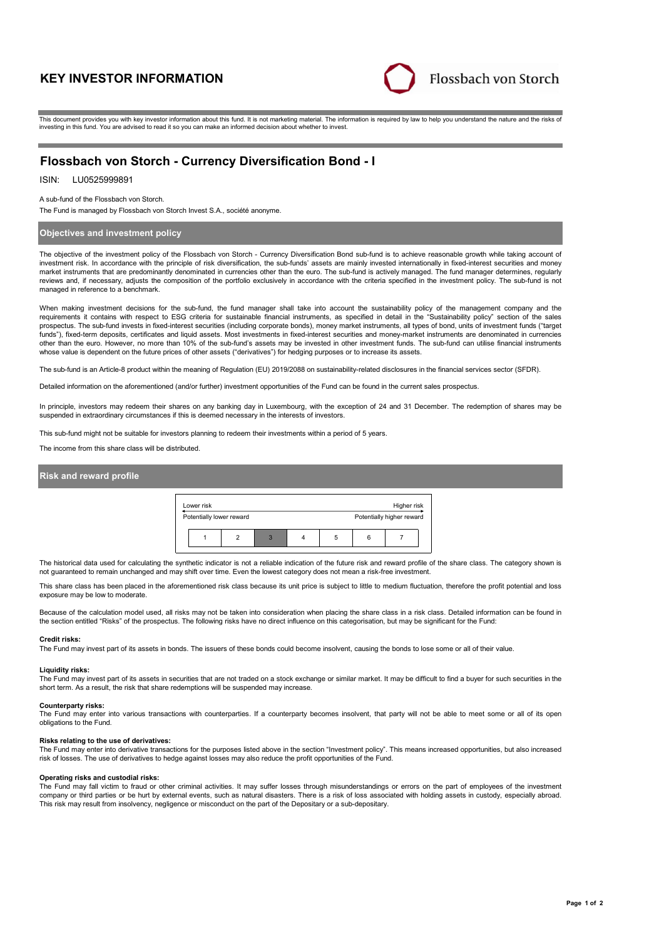# **KEY INVESTOR INFORMATION**



This document provides you with key investor information about this fund. It is not marketing material. The information is required by law to help you understand the nature and the risks of investing in this fund. You are advised to read it so you can make an informed decision about whether to invest.

# **Flossbach von Storch - Currency Diversification Bond - I**

## ISIN: LU0525999891

A sub-fund of the Flossbach von Storch.

The Fund is managed by Flossbach von Storch Invest S.A., société anonyme.

### **Objectives and investment policy**

The objective of the investment policy of the Flossbach von Storch - Currency Diversification Bond sub-fund is to achieve reasonable growth while taking account of investment risk. In accordance with the principle of risk diversification, the sub-funds' assets are mainly invested internationally in fixed-interest securities and money market instruments that are predominantly denominated in currencies other than the euro. The sub-fund is actively managed. The fund manager determines, regularly reviews and, if necessary, adjusts the composition of the portfolio exclusively in accordance with the criteria specified in the investment policy. The sub-fund is not managed in reference to a benchmark.

When making investment decisions for the sub-fund, the fund manager shall take into account the sustainability policy of the management company and the<br>requirements it contains with respect to ESG criteria for sustainable prospectus. The sub-fund invests in fixed-interest securities (including corporate bonds), money market instruments, all types of bond, units of investment funds ("target funds"), fixed-term deposits, certificates and liquid assets. Most investments in fixed-interest securities and money-market instruments are denominated in currencies other than the euro. However, no more than 10% of the sub-fund's assets may be invested in other investment funds. The sub-fund can utilise financial instruments whose value is dependent on the future prices of other assets ("derivatives") for hedging purposes or to increase its assets.

The sub-fund is an Article-8 product within the meaning of Regulation (EU) 2019/2088 on sustainability-related disclosures in the financial services sector (SFDR).

Detailed information on the aforementioned (and/or further) investment opportunities of the Fund can be found in the current sales prospectus.

In principle, investors may redeem their shares on any banking day in Luxembourg, with the exception of 24 and 31 December. The redemption of shares may be suspended in extraordinary circumstances if this is deemed necessary in the interests of investors.

This sub-fund might not be suitable for investors planning to redeem their investments within a period of 5 years.

The income from this share class will be distributed.

## **Risk and reward profile**



The historical data used for calculating the synthetic indicator is not a reliable indication of the future risk and reward profile of the share class. The category shown is not guaranteed to remain unchanged and may shift over time. Even the lowest category does not mean a risk-free investment.

This share class has been placed in the aforementioned risk class because its unit price is subject to little to medium fluctuation, therefore the profit potential and loss exposure may be low to moderate.

Because of the calculation model used, all risks may not be taken into consideration when placing the share class in a risk class. Detailed information can be found in the section entitled "Risks" of the prospectus. The following risks have no direct influence on this categorisation, but may be significant for the Fund:

#### **Credit risks:**

The Fund may invest part of its assets in bonds. The issuers of these bonds could become insolvent, causing the bonds to lose some or all of their value.

#### **Liquidity risks:**

The Fund may invest part of its assets in securities that are not traded on a stock exchange or similar market. It may be difficult to find a buyer for such securities in the short term. As a result, the risk that share redemptions will be suspended may increase.

#### **Counterparty risks:**

The Fund may enter into various transactions with counterparties. If a counterparty becomes insolvent, that party will not be able to meet some or all of its open obligations to the Fund.

#### **Risks relating to the use of derivatives:**

The Fund may enter into derivative transactions for the purposes listed above in the section "Investment policy". This means increased opportunities, but also increased risk of losses. The use of derivatives to hedge against losses may also reduce the profit opportunities of the Fund.

#### **Operating risks and custodial risks:**

The Fund may fall victim to fraud or other criminal activities. It may suffer losses through misunderstandings or errors on the part of employees of the investment company or third parties or be hurt by external events, such as natural disasters. There is a risk of loss associated with holding assets in custody, especially abroad. This risk may result from insolvency, negligence or misconduct on the part of the Depositary or a sub-depositary.